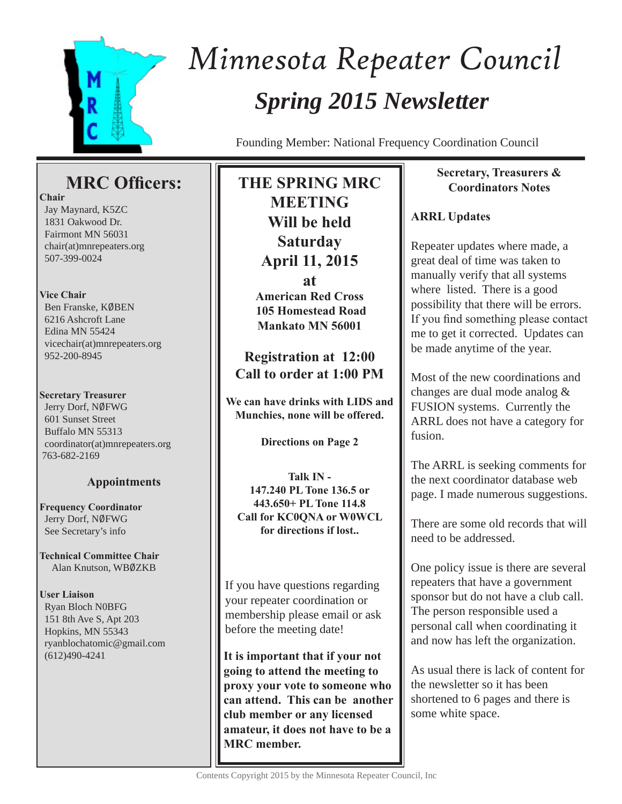

# *Spring 2015 Newsletter Minnesota Repeater Council*

Founding Member: National Frequency Coordination Council

# **MRC Officers:**

**Chair**

 Jay Maynard, K5ZC 1831 Oakwood Dr. Fairmont MN 56031 chair(at)mnrepeaters.org 507-399-0024

## **Vice Chair**

Ben Franske, KØBEN 6216 Ashcroft Lane Edina MN 55424 vicechair(at)mnrepeaters.org 952-200-8945

### **Secretary Treasurer**

Jerry Dorf, NØFWG 601 Sunset Street Buffalo MN 55313 coordinator(at)mnrepeaters.org 763-682-2169

# **Appointments**

**Frequency Coordinator** Jerry Dorf, NØFWG See Secretary's info

**Technical Committee Chair** Alan Knutson, WB0ZKB

**User Liaison** Ryan Bloch N0BFG 151 8th Ave S, Apt 203 Hopkins, MN 55343 ryanblochatomic@gmail.com (612)490-4241

**THE SPRING MRC MEETING Will be held Saturday April 11, 2015 at American Red Cross 105 Homestead Road Mankato MN 56001**

**Registration at 12:00 Call to order at 1:00 PM**

**We can have drinks with LIDS and Munchies, none will be offered.**

**Directions on Page 2**

**Talk IN - 147.240 PL Tone 136.5 or 443.650+ PL Tone 114.8 Call for KC0QNA or W0WCL for directions if lost..**

If you have questions regarding your repeater coordination or membership please email or ask before the meeting date!

**It is important that if your not going to attend the meeting to proxy your vote to someone who can attend. This can be another club member or any licensed amateur, it does not have to be a MRC member.**

# **Secretary, Treasurers & Coordinators Notes**

# **ARRL Updates**

Repeater updates where made, a great deal of time was taken to manually verify that all systems where listed. There is a good possibility that there will be errors. If you find something please contact me to get it corrected. Updates can be made anytime of the year.

Most of the new coordinations and changes are dual mode analog & FUSION systems. Currently the ARRL does not have a category for fusion.

The ARRL is seeking comments for the next coordinator database web page. I made numerous suggestions.

There are some old records that will need to be addressed.

One policy issue is there are several repeaters that have a government sponsor but do not have a club call. The person responsible used a personal call when coordinating it and now has left the organization.

As usual there is lack of content for the newsletter so it has been shortened to 6 pages and there is some white space.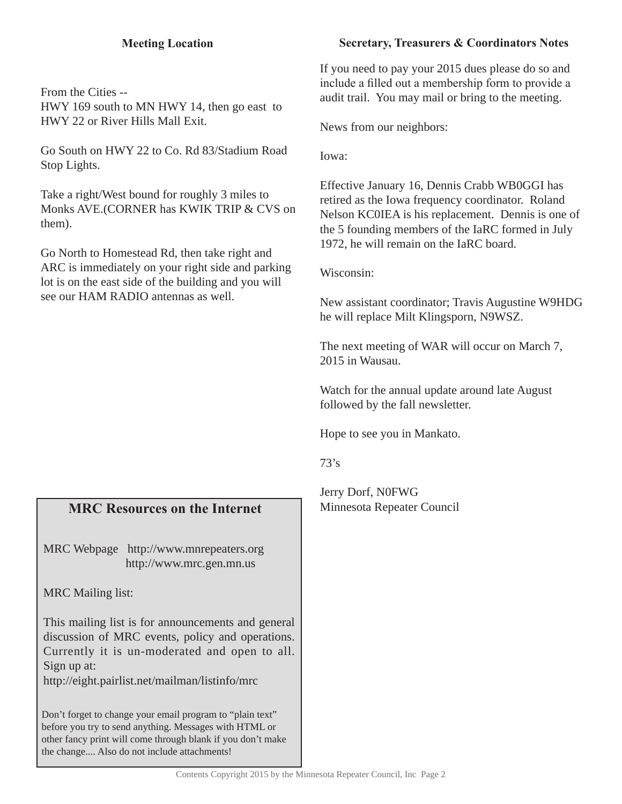# **Meeting Location**

From the Cities -- HWY 169 south to MN HWY 14, then go east to HWY 22 or River Hills Mall Exit.

Go South on HWY 22 to Co. Rd 83/Stadium Road Stop Lights.

Take a right/West bound for roughly 3 miles to Monks AVE.(CORNER has KWIK TRIP & CVS on them).

Go North to Homestead Rd, then take right and ARC is immediately on your right side and parking lot is on the east side of the building and you will see our HAM RADIO antennas as well.

# **MRC Resources on the Internet**

MRC Webpage http://www.mnrepeaters.org http://www.mrc.gen.mn.us

MRC Mailing list:

This mailing list is for announcements and general discussion of MRC events, policy and operations. Currently it is un-moderated and open to all. Sign up at:

http://eight.pairlist.net/mailman/listinfo/mrc

Don't forget to change your email program to "plain text" before you try to send anything. Messages with HTML or other fancy print will come through blank if you don't make the change.... Also do not include attachments!

# **Secretary, Treasurers & Coordinators Notes**

If you need to pay your 2015 dues please do so and include a filled out a membership form to provide a audit trail. You may mail or bring to the meeting.

News from our neighbors:

Iowa:

Effective January 16, Dennis Crabb WB0GGI has retired as the Iowa frequency coordinator. Roland Nelson KC0IEA is his replacement. Dennis is one of the 5 founding members of the IaRC formed in July 1972, he will remain on the IaRC board.

Wisconsin:

New assistant coordinator; Travis Augustine W9HDG he will replace Milt Klingsporn, N9WSZ.

The next meeting of WAR will occur on March 7, 2015 in Wausau.

Watch for the annual update around late August followed by the fall newsletter.

Hope to see you in Mankato.

73's

Jerry Dorf, N0FWG Minnesota Repeater Council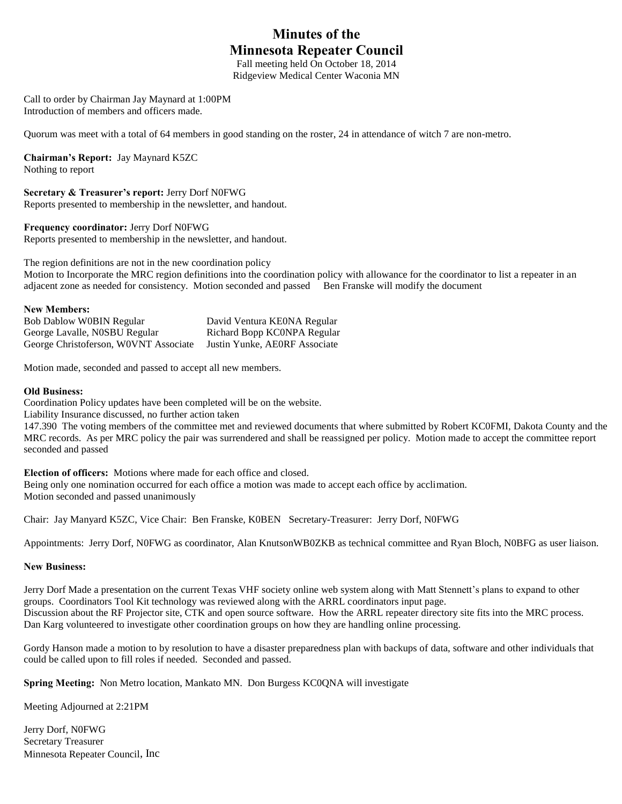# **Minutes of the Minnesota Repeater Council**

Fall meeting held On October 18, 2014 Ridgeview Medical Center Waconia MN

Call to order by Chairman Jay Maynard at 1:00PM Introduction of members and officers made.

Quorum was meet with a total of 64 members in good standing on the roster, 24 in attendance of witch 7 are non-metro.

**Chairman's Report:** Jay Maynard K5ZC

Nothing to report

**Secretary & Treasurer's report:** Jerry Dorf N0FWG Reports presented to membership in the newsletter, and handout.

#### **Frequency coordinator:** Jerry Dorf N0FWG

Reports presented to membership in the newsletter, and handout.

The region definitions are not in the new coordination policy Motion to Incorporate the MRC region definitions into the coordination policy with allowance for the coordinator to list a repeater in an adjacent zone as needed for consistency. Motion seconded and passed Ben Franske will modify the document

#### **New Members:**

| <b>Bob Dablow WOBIN Regular</b>       | David Ventura KE0NA Regular   |
|---------------------------------------|-------------------------------|
| George Lavalle, NOSBU Regular         | Richard Bopp KCONPA Regular   |
| George Christoferson, WOVNT Associate | Justin Yunke, AE0RF Associate |

Motion made, seconded and passed to accept all new members.

#### **Old Business:**

Coordination Policy updates have been completed will be on the website.

Liability Insurance discussed, no further action taken

147.390 The voting members of the committee met and reviewed documents that where submitted by Robert KC0FMI, Dakota County and the MRC records. As per MRC policy the pair was surrendered and shall be reassigned per policy. Motion made to accept the committee report seconded and passed

**Election of officers:** Motions where made for each office and closed.

Being only one nomination occurred for each office a motion was made to accept each office by acclimation. Motion seconded and passed unanimously

Chair: Jay Manyard K5ZC, Vice Chair: Ben Franske, K0BEN Secretary-Treasurer: Jerry Dorf, N0FWG

Appointments: Jerry Dorf, N0FWG as coordinator, Alan KnutsonWB0ZKB as technical committee and Ryan Bloch, N0BFG as user liaison.

#### **New Business:**

Jerry Dorf Made a presentation on the current Texas VHF society online web system along with Matt Stennett's plans to expand to other groups. Coordinators Tool Kit technology was reviewed along with the ARRL coordinators input page. Discussion about the RF Projector site, CTK and open source software. How the ARRL repeater directory site fits into the MRC process. Dan Karg volunteered to investigate other coordination groups on how they are handling online processing.

Gordy Hanson made a motion to by resolution to have a disaster preparedness plan with backups of data, software and other individuals that could be called upon to fill roles if needed. Seconded and passed.

**Spring Meeting:** Non Metro location, Mankato MN. Don Burgess KC0QNA will investigate

Meeting Adjourned at 2:21PM

Jerry Dorf, N0FWG Secretary Treasurer Minnesota Repeater Council, Inc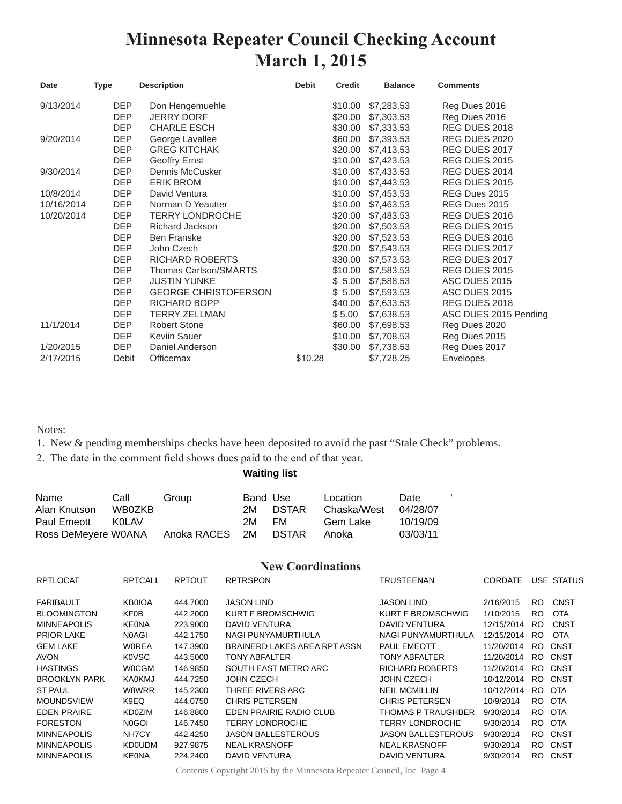# **Minnesota Repeater Council Checking Account March 1, 2015**

| Date       | <b>Type</b> | <b>Description</b>          | <b>Debit</b> | <b>Credit</b> | <b>Balance</b> | <b>Comments</b>       |
|------------|-------------|-----------------------------|--------------|---------------|----------------|-----------------------|
| 9/13/2014  | <b>DEP</b>  | Don Hengemuehle             |              | \$10.00       | \$7,283.53     | Reg Dues 2016         |
|            | <b>DEP</b>  | <b>JERRY DORF</b>           |              | \$20.00       | \$7,303.53     | Reg Dues 2016         |
|            | <b>DEP</b>  | <b>CHARLE ESCH</b>          |              | \$30.00       | \$7,333.53     | REG DUES 2018         |
| 9/20/2014  | <b>DEP</b>  | George Lavallee             |              | \$60.00       | \$7,393.53     | REG DUES 2020         |
|            | <b>DEP</b>  | <b>GREG KITCHAK</b>         |              | \$20.00       | \$7,413.53     | REG DUES 2017         |
|            | <b>DEP</b>  | Geoffry Ernst               |              | \$10.00       | \$7,423.53     | REG DUES 2015         |
| 9/30/2014  | <b>DEP</b>  | Dennis McCusker             |              | \$10.00       | \$7,433.53     | REG DUES 2014         |
|            | <b>DEP</b>  | <b>ERIK BROM</b>            |              | \$10.00       | \$7,443.53     | REG DUES 2015         |
| 10/8/2014  | <b>DEP</b>  | David Ventura               |              | \$10.00       | \$7,453.53     | REG Dues 2015         |
| 10/16/2014 | <b>DEP</b>  | Norman D Yeautter           |              | \$10.00       | \$7,463.53     | REG Dues 2015         |
| 10/20/2014 | <b>DEP</b>  | <b>TERRY LONDROCHE</b>      |              | \$20.00       | \$7,483.53     | REG DUES 2016         |
|            | <b>DEP</b>  | Richard Jackson             |              | \$20.00       | \$7,503.53     | REG DUES 2015         |
|            | <b>DEP</b>  | <b>Ben Franske</b>          |              | \$20.00       | \$7,523.53     | REG DUES 2016         |
|            | <b>DEP</b>  | John Czech                  |              | \$20.00       | \$7,543.53     | REG DUES 2017         |
|            | DEP         | RICHARD ROBERTS             |              | \$30.00       | \$7,573.53     | REG DUES 2017         |
|            | <b>DEP</b>  | Thomas Carlson/SMARTS       |              | \$10.00       | \$7,583.53     | REG DUES 2015         |
|            | <b>DEP</b>  | <b>JUSTIN YUNKE</b>         |              | \$5.00        | \$7,588.53     | ASC DUES 2015         |
|            | <b>DEP</b>  | <b>GEORGE CHRISTOFERSON</b> |              | \$5.00        | \$7,593.53     | ASC DUES 2015         |
|            | <b>DEP</b>  | RICHARD BOPP                |              | \$40.00       | \$7,633.53     | REG DUES 2018         |
|            | <b>DEP</b>  | <b>TERRY ZELLMAN</b>        |              | \$5.00        | \$7,638.53     | ASC DUES 2015 Pending |
| 11/1/2014  | <b>DEP</b>  | <b>Robert Stone</b>         |              | \$60.00       | \$7,698.53     | Reg Dues 2020         |
|            | <b>DEP</b>  | Keviin Sauer                |              | \$10.00       | \$7,708.53     | Reg Dues 2015         |
| 1/20/2015  | <b>DEP</b>  | Daniel Anderson             |              | \$30.00       | \$7,738.53     | Reg Dues 2017         |
| 2/17/2015  | Debit       | Officemax                   | \$10.28      |               | \$7,728.25     | Envelopes             |

Notes:

1. New & pending memberships checks have been deposited to avoid the past "Stale Check" problems.

2. The date in the comment field shows dues paid to the end of that year.

**Waiting list**

| Name                | Call   | Group                | Band Use |       | Location    | Date     |  |
|---------------------|--------|----------------------|----------|-------|-------------|----------|--|
| Alan Knutson        | WB0ZKB |                      | 2M       | DSTAR | Chaska/West | 04/28/07 |  |
| Paul Emeott         | KOLAV  |                      | 2M.      | FM.   | Gem Lake    | 10/19/09 |  |
| Ross DeMeyere W0ANA |        | Anoka RACES 2M DSTAR |          |       | Anoka       | 03/03/11 |  |

#### **New Coordinations**

| <b>RPTLOCAT</b>      | <b>RPTCALL</b> | <b>RPTOUT</b> | <b>RPTRSPON</b>              | TRUSTEENAN                | <b>CORDATE</b> |     | USE STATUS  |
|----------------------|----------------|---------------|------------------------------|---------------------------|----------------|-----|-------------|
| <b>FARIBAULT</b>     | <b>KB0IOA</b>  | 444.7000      | <b>JASON LIND</b>            | <b>JASON LIND</b>         | 2/16/2015      | RO. | <b>CNST</b> |
| <b>BLOOMINGTON</b>   | KF0B           | 442.2000      | KURT F BROMSCHWIG            | KURT F BROMSCHWIG         | 1/10/2015      | RO. | <b>OTA</b>  |
| <b>MINNEAPOLIS</b>   | <b>KEONA</b>   | 223,9000      | DAVID VENTURA                | DAVID VENTURA             | 12/15/2014     | RO. | CNST        |
| <b>PRIOR LAKE</b>    | N0AGI          | 442.1750      | NAGI PUNYAMURTHULA           | NAGI PUNYAMURTHULA        | 12/15/2014     | RO. | <b>OTA</b>  |
| <b>GEM LAKE</b>      | <b>WOREA</b>   | 147.3900      | BRAINERD LAKES AREA RPT ASSN | <b>PAUL EMEOTT</b>        | 11/20/2014     | RO. | CNST        |
| AVON                 | K0VSC          | 443.5000      | TONY ABFALTER                | TONY ABFALTER             | 11/20/2014     | RO. | CNST        |
| <b>HASTINGS</b>      | <b>WOCGM</b>   | 146.9850      | SOUTH EAST METRO ARC         | RICHARD ROBERTS           | 11/20/2014     | RO. | CNST        |
| <b>BROOKLYN PARK</b> | <b>KA0KMJ</b>  | 444.7250      | JOHN CZECH                   | JOHN CZECH                | 10/12/2014     | RO. | CNST        |
| <b>ST PAUL</b>       | W8WRR          | 145.2300      | THREE RIVERS ARC             | <b>NEIL MCMILLIN</b>      | 10/12/2014     | RO. | OTA         |
| <b>MOUNDSVIEW</b>    | K9EQ           | 444.0750      | <b>CHRIS PETERSEN</b>        | <b>CHRIS PETERSEN</b>     | 10/9/2014      |     | RO OTA      |
| <b>EDEN PRAIRE</b>   | KD0ZIM         | 146.8800      | EDEN PRAIRIE RADIO CLUB      | THOMAS P TRAUGHBER        | 9/30/2014      |     | RO OTA      |
| <b>FORESTON</b>      | N0GOI          | 146.7450      | <b>TERRY LONDROCHE</b>       | <b>TERRY LONDROCHE</b>    | 9/30/2014      |     | RO OTA      |
| <b>MINNEAPOLIS</b>   | NH7CY          | 442.4250      | <b>JASON BALLESTEROUS</b>    | <b>JASON BALLESTEROUS</b> | 9/30/2014      |     | RO CNST     |
| <b>MINNEAPOLIS</b>   | <b>KD0UDM</b>  | 927.9875      | <b>NEAL KRASNOFF</b>         | <b>NEAL KRASNOFF</b>      | 9/30/2014      | RO. | CNST        |
| <b>MINNEAPOLIS</b>   | KEONA          | 224.2400      | DAVID VENTURA                | DAVID VENTURA             | 9/30/2014      |     | RO CNST     |

Contents Copyright 2015 by the Minnesota Repeater Council, Inc Page 4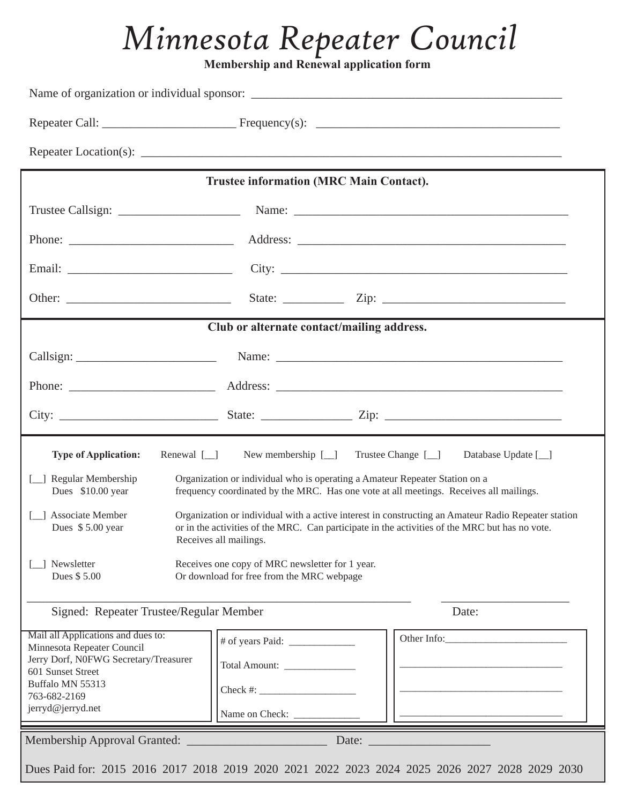# *Minnesota Repeater Council*

**Membership and Renewal application form** 

|                                                                                                                                                                                                                                                                             | <b>Trustee information (MRC Main Contact).</b>                                                                                                                        |                                                                                                                                                                                                                               |  |
|-----------------------------------------------------------------------------------------------------------------------------------------------------------------------------------------------------------------------------------------------------------------------------|-----------------------------------------------------------------------------------------------------------------------------------------------------------------------|-------------------------------------------------------------------------------------------------------------------------------------------------------------------------------------------------------------------------------|--|
|                                                                                                                                                                                                                                                                             |                                                                                                                                                                       |                                                                                                                                                                                                                               |  |
|                                                                                                                                                                                                                                                                             |                                                                                                                                                                       |                                                                                                                                                                                                                               |  |
|                                                                                                                                                                                                                                                                             |                                                                                                                                                                       |                                                                                                                                                                                                                               |  |
|                                                                                                                                                                                                                                                                             |                                                                                                                                                                       |                                                                                                                                                                                                                               |  |
|                                                                                                                                                                                                                                                                             | Club or alternate contact/mailing address.                                                                                                                            |                                                                                                                                                                                                                               |  |
|                                                                                                                                                                                                                                                                             |                                                                                                                                                                       |                                                                                                                                                                                                                               |  |
|                                                                                                                                                                                                                                                                             |                                                                                                                                                                       |                                                                                                                                                                                                                               |  |
|                                                                                                                                                                                                                                                                             |                                                                                                                                                                       |                                                                                                                                                                                                                               |  |
| Renewal $[\_]$<br><b>Type of Application:</b>                                                                                                                                                                                                                               | New membership $[\_]$                                                                                                                                                 | Trustee Change [_]<br>Database Update [ <i>_</i> ]                                                                                                                                                                            |  |
| [_] Regular Membership<br>Dues \$10.00 year                                                                                                                                                                                                                                 | Organization or individual who is operating a Amateur Repeater Station on a<br>frequency coordinated by the MRC. Has one vote at all meetings. Receives all mailings. |                                                                                                                                                                                                                               |  |
| [_] Associate Member<br>Organization or individual with a active interest in constructing an Amateur Radio Repeater station<br>Dues \$5.00 year<br>or in the activities of the MRC. Can participate in the activities of the MRC but has no vote.<br>Receives all mailings. |                                                                                                                                                                       |                                                                                                                                                                                                                               |  |
| Newsletter<br>Receives one copy of MRC newsletter for 1 year.<br>Dues \$5.00<br>Or download for free from the MRC webpage                                                                                                                                                   |                                                                                                                                                                       |                                                                                                                                                                                                                               |  |
| Signed: Repeater Trustee/Regular Member<br>Date:                                                                                                                                                                                                                            |                                                                                                                                                                       |                                                                                                                                                                                                                               |  |
| Mail all Applications and dues to:<br>Minnesota Repeater Council<br>Jerry Dorf, N0FWG Secretary/Treasurer<br>601 Sunset Street<br>Buffalo MN 55313<br>763-682-2169<br>jerryd@jerryd.net                                                                                     | Total Amount:                                                                                                                                                         | Other Info:                                                                                                                                                                                                                   |  |
|                                                                                                                                                                                                                                                                             |                                                                                                                                                                       | Date: and the contract of the contract of the contract of the contract of the contract of the contract of the contract of the contract of the contract of the contract of the contract of the contract of the contract of the |  |
|                                                                                                                                                                                                                                                                             |                                                                                                                                                                       | Dues Paid for: 2015 2016 2017 2018 2019 2020 2021 2022 2023 2024 2025 2026 2027 2028 2029 2030                                                                                                                                |  |